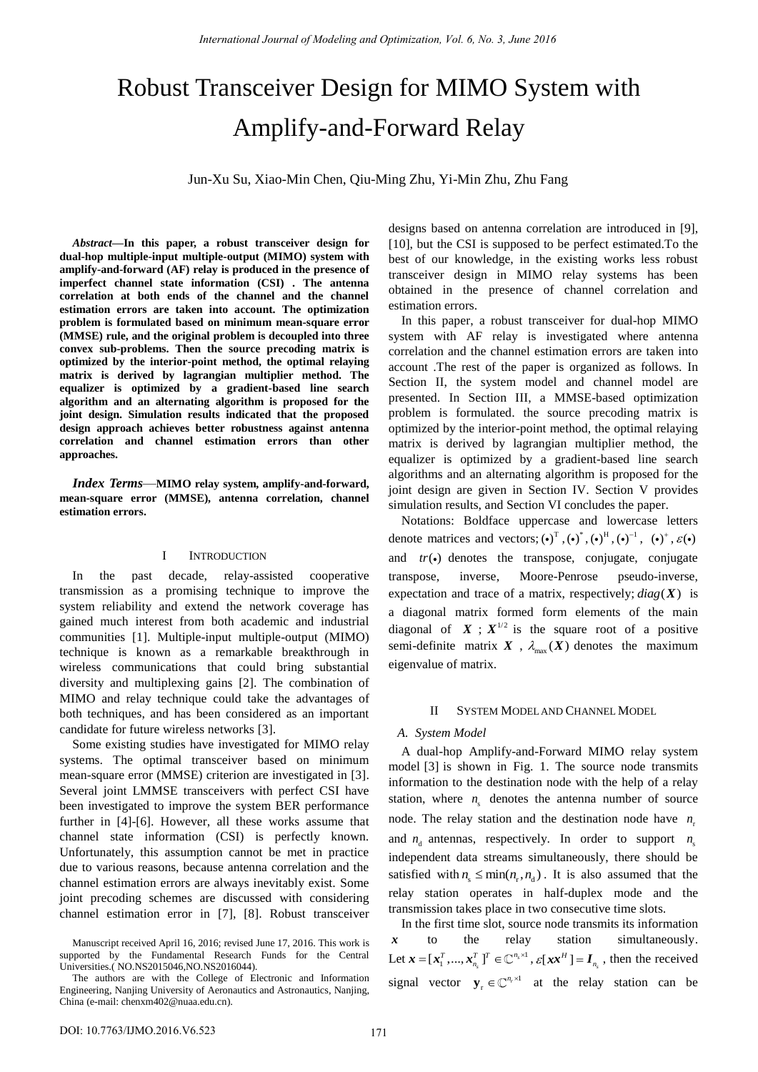# Robust Transceiver Design for MIMO System with Amplify-and-Forward Relay

Jun-Xu Su, Xiao-Min Chen, Qiu-Ming Zhu, Yi-Min Zhu, Zhu Fang

*Abstract—***In this paper, a robust transceiver design for dual-hop multiple-input multiple-output (MIMO) system with amplify-and-forward (AF) relay is produced in the presence of imperfect channel state information (CSI) . The antenna correlation at both ends of the channel and the channel estimation errors are taken into account. The optimization problem is formulated based on minimum mean-square error (MMSE) rule, and the original problem is decoupled into three convex sub-problems. Then the source precoding matrix is optimized by the interior-point method, the optimal relaying matrix is derived by lagrangian multiplier method. The equalizer is optimized by a gradient-based line search algorithm and an alternating algorithm is proposed for the joint design. Simulation results indicated that the proposed design approach achieves better robustness against antenna correlation and channel estimation errors than other approaches.** 

*Index Terms*—**MIMO relay system, amplify-and-forward, mean-square error (MMSE), antenna correlation, channel estimation errors.**

## I INTRODUCTION

In the past decade, relay-assisted cooperative transmission as a promising technique to improve the system reliability and extend the network coverage has gained much interest from both academic and industrial communities [1]. Multiple-input multiple-output (MIMO) technique is known as a remarkable breakthrough in wireless communications that could bring substantial diversity and multiplexing gains [2]. The combination of MIMO and relay technique could take the advantages of both techniques, and has been considered as an important candidate for future wireless networks [3].

Some existing studies have investigated for MIMO relay systems. The optimal transceiver based on minimum mean-square error (MMSE) criterion are investigated in [3]. Several joint LMMSE transceivers with perfect CSI have been investigated to improve the system BER performance further in [4]-[6]. However, all these works assume that channel state information (CSI) is perfectly known. Unfortunately, this assumption cannot be met in practice due to various reasons, because antenna correlation and the channel estimation errors are always inevitably exist. Some joint precoding schemes are discussed with considering channel estimation error in [7], [8]. Robust transceiver designs based on antenna correlation are introduced in [9], [10], but the CSI is supposed to be perfect estimated.To the best of our knowledge, in the existing works less robust transceiver design in MIMO relay systems has been obtained in the presence of channel correlation and estimation errors.

In this paper, a robust transceiver for dual-hop MIMO system with AF relay is investigated where antenna correlation and the channel estimation errors are taken into account .The rest of the paper is organized as follows. In Section II, the system model and channel model are presented. In Section III, a MMSE-based optimization problem is formulated. the source precoding matrix is optimized by the interior-point method, the optimal relaying matrix is derived by lagrangian multiplier method, the equalizer is optimized by a gradient-based line search algorithms and an alternating algorithm is proposed for the joint design are given in Section IV. Section V provides simulation results, and Section VI concludes the paper.

Notations: Boldface uppercase and lowercase letters denote matrices and vectors;  $(\cdot)^T$ ,  $(\cdot)^*$ ,  $(\cdot)^H$ ,  $(\cdot)^{-1}$ ,  $(\cdot)^+$ ,  $\varepsilon(\cdot)$ and  $tr(\bullet)$  denotes the transpose, conjugate, conjugate transpose, inverse, Moore-Penrose pseudo-inverse, expectation and trace of a matrix, respectively;  $diag(X)$  is a diagonal matrix formed form elements of the main diagonal of  $X$ ;  $X^{1/2}$  is the square root of a positive semi-definite matrix  $X$ ,  $\lambda_{\text{max}}(X)$  denotes the maximum eigenvalue of matrix.

### II SYSTEM MODEL AND CHANNEL MODEL

### *A. System Model*

A dual-hop Amplify-and-Forward MIMO relay system model [3] is shown in Fig. 1. The source node transmits information to the destination node with the help of a relay station, where  $n_{\rm s}$  denotes the antenna number of source node. The relay station and the destination node have  $n_r$ and  $n_a$  antennas, respectively. In order to support  $n_a$ independent data streams simultaneously, there should be satisfied with  $n_{\rm s} \leq \min(n_{\rm r}, n_{\rm d})$ . It is also assumed that the relay station operates in half-duplex mode and the transmission takes place in two consecutive time slots.

In the first time slot, source node transmits its information *x* to the relay station simultaneously. Let  $\boldsymbol{x} = [\boldsymbol{x}_1^T, ..., \boldsymbol{x}_{n_s}^T]^T \in \mathbb{C}^{n_s \times 1}$  $\boldsymbol{x} = [\boldsymbol{x}_1^T, ..., \boldsymbol{x}_{n_s}^T]^T \in \mathbb{C}^{n_s \times 1}$  ,  $\mathcal{E}[\boldsymbol{x} \boldsymbol{x}^H] = \boldsymbol{I}_{n_s}$  $\mathcal{E}[\mathbf{x} \mathbf{x}^H] = \mathbf{I}_{n_{\rm s}}$ , then the received signal vector  $\mathbf{y}_r \in \mathbb{C}^{n_r \times 1}$  at the relay station can be

Manuscript received April 16, 2016; revised June 17, 2016. This work is supported by the Fundamental Research Funds for the Central Universities.( NO.NS2015046,NO.NS2016044).

The authors are with the College of Electronic and Information Engineering, Nanjing University of Aeronautics and Astronautics, Nanjing, China (e-mail: chenxm402@nuaa.edu.cn).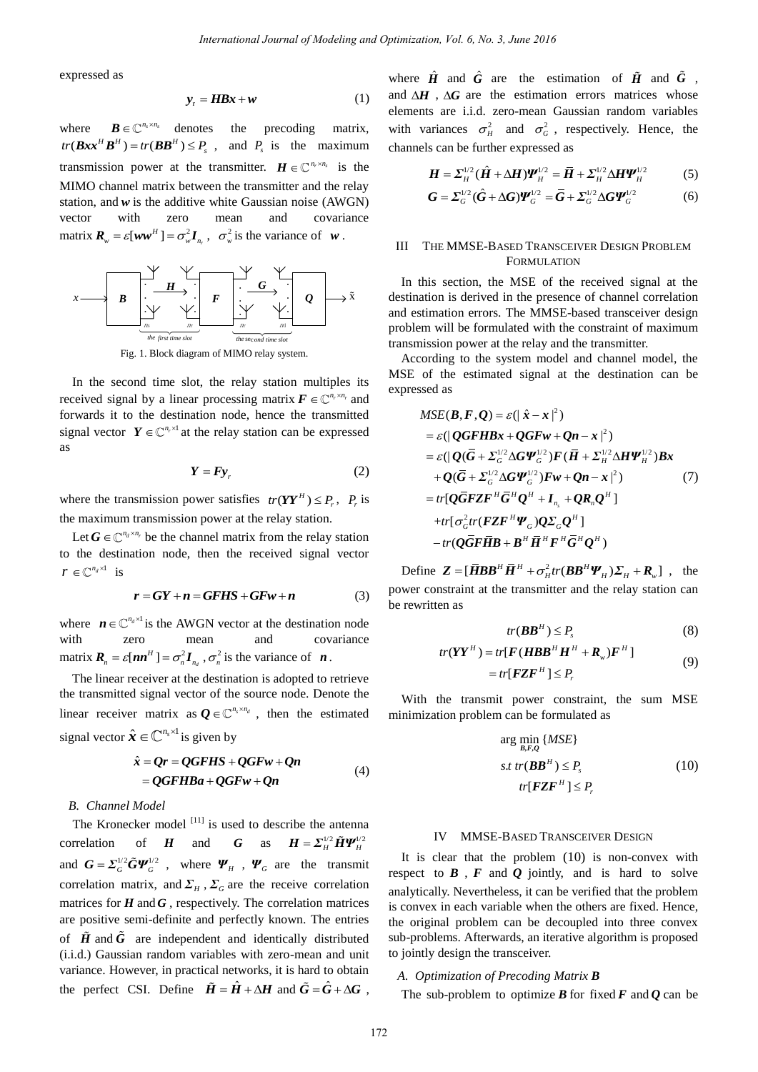expressed as

$$
y_r = HBx + w \tag{1}
$$

where  $\mathbf{B} \in \mathbb{C}^{n_s \times n_s}$  denotes the precoding matrix,  $tr(Bxx^H B^H) = tr(BB^H) \le P_s$ , and  $P_s$  is the maximum transmission power at the transmitter.  $\mathbf{H} \in \mathbb{C}^{n_r \times n_s}$  is the MIMO channel matrix between the transmitter and the relay station, and *w* is the additive white Gaussian noise (AWGN) vector with zero mean and covariance matrix  $\boldsymbol{R}_{w} = \varepsilon[\boldsymbol{w}\boldsymbol{w}^{H}] = \sigma_{w}^{2}\boldsymbol{I}_{n_{r}}$  $\mathbf{R}_{w} = \varepsilon[ww^{H}] = \sigma_{w}^{2} \mathbf{I}_{n_{r}}$ ,  $\sigma_{w}^{2}$  is the variance of *w*.



Fig. 1. Block diagram of MIMO relay system.

In the second time slot, the relay station multiples its received signal by a linear processing matrix  $\mathbf{F} \in \mathbb{C}^{n_r \times n_r}$  and forwards it to the destination node, hence the transmitted signal vector  $Y \in \mathbb{C}^{n_r \times 1}$  at the relay station can be expressed as

$$
Y = F y_r \tag{2}
$$

where the transmission power satisfies  $tr(YY^H) \le P_r$ ,  $P_r$  is the maximum transmission power at the relay station.

Let  $G \in \mathbb{C}^{n_d \times n_r}$  be the channel matrix from the relay station to the destination node, then the received signal vector  $r \in \mathbb{C}^{n_d \times 1}$  is

$$
r = GY + n = GFHS + GFw + n \tag{3}
$$

where  $n \in \mathbb{C}^{n_d \times 1}$  is the AWGN vector at the destination node with zero mean and covariance matrix  $\boldsymbol{R}_n = \varepsilon[\boldsymbol{n}\boldsymbol{n}^H] = \sigma_n^2 \boldsymbol{I}_{n_d}$  $\mathbf{R}_n = \varepsilon[\mathbf{n}\mathbf{n}^H] = \sigma_n^2 \mathbf{I}_{n_d}, \sigma_n^2$  is the variance of  $\mathbf{n}$ .

The linear receiver at the destination is adopted to retrieve the transmitted signal vector of the source node. Denote the linear receiver matrix as  $\mathbf{Q} \in \mathbb{C}^{n_s \times n_d}$ , then the estimated signal vector  $\hat{\mathbf{x}} \in \mathbb{C}^{n_s \times 1}$  is given by

$$
\hat{x} = Qr = QGFHS + QGFw + Qn
$$
  
= QGFHBa + QGFw + Qn (4)

## *B. Channel Model*

The Kronecker model  $\left[11\right]$  is used to describe the antenna correlation of *H* and *G* as  $H = \sum_{H}^{1/2} \tilde{H} \Psi_{H}^{1/2}$ and  $G = \sum_{G}^{1/2} \tilde{G} \Psi_{G}^{1/2}$ , where  $\Psi_{H}$ ,  $\Psi_{G}$  are the transmit correlation matrix, and  $\Sigma_H$ ,  $\Sigma_G$  are the receive correlation matrices for  $H$  and  $G$ , respectively. The correlation matrices are positive semi-definite and perfectly known. The entries of  $\tilde{H}$  and  $\tilde{G}$  are independent and identically distributed (i.i.d.) Gaussian random variables with zero-mean and unit variance. However, in practical networks, it is hard to obtain the perfect CSI. Define  $\tilde{H} = \hat{H} + \Delta H$  and  $\tilde{G} = \hat{G} + \Delta G$ . *International Journal of Modeling and Optimization, Vol. 6, No. 3, June 2018*<br> **IIIS:** + w the entropy  $\vec{H}$  and  $\vec{H}$ , AG are the entropy  $\vec{H}$ .<br>
IIIS: + w the precoding matrix. With variances  $\vec{G}_n$  and  $\vec{F}_n$ 

where  $\hat{H}$  and  $\hat{G}$  are the estimation of  $\tilde{H}$  and  $\tilde{G}$ , and  $\Delta H$ ,  $\Delta G$  are the estimation errors matrices whose elements are i.i.d. zero-mean Gaussian random variables with variances  $\sigma_H^2$  and  $\sigma_G^2$ , respectively. Hence, the channels can be further expressed as

$$
\boldsymbol{H} = \boldsymbol{\Sigma}_{H}^{1/2} (\hat{\boldsymbol{H}} + \Delta \boldsymbol{H}) \boldsymbol{\Psi}_{H}^{1/2} = \bar{\boldsymbol{H}} + \boldsymbol{\Sigma}_{H}^{1/2} \Delta \boldsymbol{H} \boldsymbol{\Psi}_{H}^{1/2}
$$
(5)

$$
\mathbf{G} = \Sigma_G^{1/2} (\hat{\mathbf{G}} + \Delta \mathbf{G}) \boldsymbol{\varPsi}_G^{1/2} = \overline{\mathbf{G}} + \Sigma_G^{1/2} \Delta \mathbf{G} \boldsymbol{\varPsi}_G^{1/2}
$$
(6)

## III THE MMSE-BASED TRANSCEIVER DESIGN PROBLEM FORMULATION

 $x \longrightarrow B$   $\begin{array}{ccc} \cdot & \cdot & \cdot \\ \cdot & \cdot & \cdot \\ \cdot & \cdot & \cdot \\ \hline \end{array}$   $x \longrightarrow C$   $\begin{array}{ccc} \cdot & \cdot & \cdot \\ \cdot & \cdot & \cdot \\ \cdot & \cdot & \cdot \\ \cdot & \cdot & \cdot \\ \hline \end{array}$   $\begin{array}{ccc} \cdot & \cdot & \cdot \\ \cdot & \cdot & \cdot \\ \cdot & \cdot & \cdot \\ \cdot & \cdot & \cdot \\ \cdot & \cdot & \cdot \\ \cdot & \cdot & \cdot \\ \cdot & \cdot & \cdot \\ \cdot & \cdot & \cdot \\ \cdot & \cdot & \cdot \\ \cdot & \cdot & \cdot \\ \cdot & \cdot & \cdot \\ \$ *the first time slot*<br> *F*  $\begin{array}{c} \begin{array}{c} \cdot & \cdot & \cdot \\ \cdot & \cdot & \cdot \\ \hline \end{array}$  *fire first time slot*<br> *He second time slot*<br> *He second time slot*<br> *He second time slot*<br> *He second time slot*<br> *He second time slot*<br> *He seco* **B**  $\begin{bmatrix} \cdot & \cdot & \cdot \\ \cdot & \cdot & \cdot \\ \cdot & \cdot & \cdot \\ \cdot & \cdot & \cdot \\ \cdot & \cdot & \cdot \\ \cdot & \cdot & \cdot \\ \cdot & \cdot & \cdot \\ \cdot & \cdot & \cdot \\ \cdot & \cdot & \cdot \\ \cdot & \cdot & \cdot \\ \cdot & \cdot & \cdot \\ \cdot & \cdot & \cdot \\ \cdot & \cdot & \cdot \\ \cdot & \cdot & \cdot \\ \cdot & \cdot & \cdot \\ \cdot & \cdot & \cdot \\ \cdot & \cdot & \cdot \\ \cdot & \cdot & \cdot \\ \cdot & \cdot & \cdot \\ \cdot & \cdot & \cdot \\ \cdot & \cdot & \cdot \\ \cdot & \cdot & \cdot \\ \cdot & \cdot & \cdot \\ \cdot &$ In this section, the MSE of the received signal at the problem will be formulated with the constraint of maximum transmission power at the relay and the transmitter.

According to the system model and channel model, the MSE of the estimated signal at the destination can be expressed as

$$
MSE(B, F, Q) = \varepsilon(|\hat{x} - x|^2)
$$
  
\n
$$
= \varepsilon(|QGFHBx + QGFw + Qn - x|^2)
$$
  
\n
$$
= \varepsilon(|Q(\bar{G} + \Sigma_G^{1/2} \Delta G\Psi_G^{1/2})F(\bar{H} + \Sigma_H^{1/2} \Delta H\Psi_H^{1/2})Bx
$$
  
\n
$$
+ Q(\bar{G} + \Sigma_G^{1/2} \Delta G\Psi_G^{1/2})Fw + Qn - x|^2)
$$
  
\n
$$
= tr[Q\bar{G}FZF^H\bar{G}^HQ^H + I_{n_s} + QR_nQ^H]
$$
  
\n
$$
+ tr[\sigma_G^2 tr(FZF^H\Psi_G)Q\Sigma_GQ^H]
$$
  
\n
$$
- tr(Q\bar{G}F\bar{H}B + B^H\bar{H}^HF^H\bar{G}^HQ^H)
$$

Define  $\mathbf{Z} = [\mathbf{\overline{H}} \mathbf{B} \mathbf{B}^H \mathbf{\overline{H}}^H + \sigma_H^2 tr(\mathbf{B} \mathbf{B}^H \mathbf{\Psi}_H) \mathbf{\Sigma}_H + \mathbf{R}_w]$ , the power constraint at the transmitter and the relay station can be rewritten as

$$
tr(BB^H) \le P_s \tag{8}
$$

$$
tr(YYH) = tr[F(HBBH HH + Rw)FH]
$$
  
= tr[FZF<sup>H</sup>]  $\leq P_r$  (9)

With the transmit power constraint, the sum MSE minimization problem can be formulated as

$$
\arg\min_{B,F,Q} \{MSE\}
$$
  

$$
s.t \ tr(BBH) \le P_s
$$
  

$$
tr[FZFH] \le P_r
$$
 (10)

#### IV MMSE-BASED TRANSCEIVER DESIGN

It is clear that the problem (10) is non-convex with respect to  $\mathbf{B}$ ,  $\mathbf{F}$  and  $\mathbf{Q}$  jointly, and is hard to solve analytically. Nevertheless, it can be verified that the problem is convex in each variable when the others are fixed. Hence, the original problem can be decoupled into three convex sub-problems. Afterwards, an iterative algorithm is proposed to jointly design the transceiver.

### *A. Optimization of Precoding Matrix B*

The sub-problem to optimize  $\vec{B}$  for fixed  $\vec{F}$  and  $\vec{Q}$  can be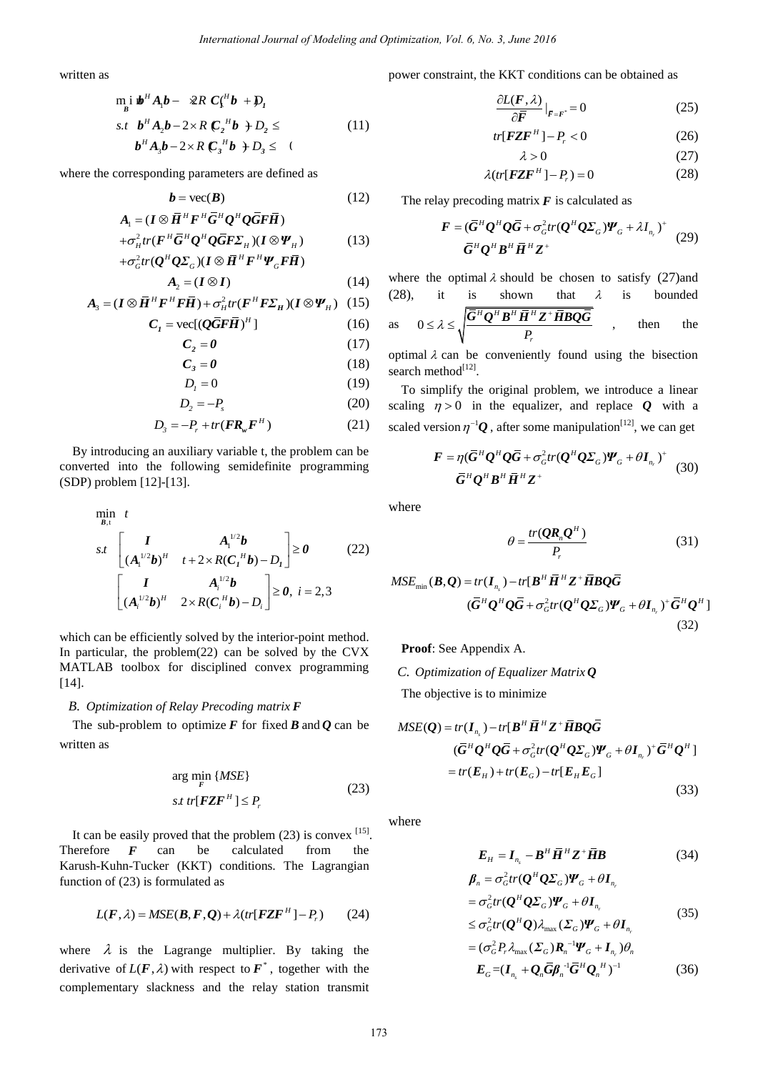written as

$$
\min_{B} \mathbf{b}^{H} A_{1} \mathbf{b} - \mathcal{R} R C_{1}^{H} \mathbf{b} + D_{1}
$$
  
s.t 
$$
\mathbf{b}^{H} A_{2} \mathbf{b} - 2 \times R C_{2}^{H} \mathbf{b} + D_{2} \leq
$$

$$
\mathbf{b}^{H} A_{3} \mathbf{b} - 2 \times R C_{3}^{H} \mathbf{b} + D_{3} \leq (11)
$$

where the corresponding parameters are defined as

$$
b = \text{vec}(B) \tag{12}
$$

$$
A_{\scriptscriptstyle 1} = (\bm{I} \otimes \bm{\bar{H}}^H \bm{F}^H \bm{\bar{G}}^H \bm{Q}^H \bm{Q} \bm{\bar{G}} \bm{F} \bm{\bar{H}})
$$

$$
+\sigma_H^2 tr(\mathbf{F}^H \mathbf{G}^H \mathbf{Q}^H \mathbf{Q} \mathbf{G} \mathbf{F} \mathbf{\Sigma}_H)(\mathbf{I} \otimes \mathbf{\Psi}_H)
$$
(13)  

$$
+\sigma_G^2 tr(\mathbf{Q}^H \mathbf{Q} \mathbf{\Sigma}_G)(\mathbf{I} \otimes \mathbf{H}^H \mathbf{F}^H \mathbf{\Psi}_G \mathbf{F} \mathbf{\overline{H}})
$$

$$
A_2 = (I \otimes I) \tag{14}
$$

$$
A_3 = (I \otimes \overline{H}^H F^H F \overline{H}) + \sigma_H^2 tr(F^H F \Sigma_H)(I \otimes \Psi_H) \quad (15)
$$

$$
C_{I} = \text{vec}[(\mathbf{Q}\bar{\mathbf{G}}\mathbf{F}\bar{\mathbf{H}})^{H}] \tag{16}
$$

$$
C_2 = 0 \tag{17}
$$

$$
C_3 = 0 \tag{18}
$$

$$
D_{I} = 0 \tag{19}
$$

$$
D_2 = -P_s \tag{20}
$$

$$
D_3 = -P_r + tr(\mathbf{F} \mathbf{R}_w \mathbf{F}^H)
$$
 (21)

By introducing an auxiliary variable t, the problem can be converted into the following semidefinite programming (SDP) problem [12]-[13].

*International Journal of Modeling and Optimization, Vol. 6, No. 3, June 2016  
\nas  
\n
$$
\begin{aligned}\n&\text{in } \mathbf{B}^H A_t \mathbf{b} - 2R C_1^H \mathbf{b} + \mathbf{D}_t \\
&\text{in } \mathbf{B}^H A_t \mathbf{b} - 2R C_1^H \mathbf{b} + \mathbf{D}_t \leq 0 \\
&\text{in } \mathbf{B}^H A_t \mathbf{b} - 2R C_1^H \mathbf{b} + \mathbf{D}_t \leq 0 \\
&\text{in } \mathbf{B}^H A_t \mathbf{b} - 2R C_1^H \mathbf{b} + \mathbf{D}_t \leq 0 \\
&\text{in } \mathbf{B}^H B_t \mathbf{b} - 2R C_1^H \mathbf{b} + \mathbf{D}_t \leq 0 \\
&\text{in } \mathbf{B}^H B_t \mathbf{b} - 2R C_1^H \mathbf{b} + \mathbf{D}_t \leq 0 \\
&\text{in } \mathbf{B}^H B_t \mathbf{b} - 2R C_1^H \mathbf{b} + \mathbf{D}_t \leq 0 \\
&\text{in } \mathbf{B}^H B_t \mathbf{b} + \mathbf{D}_t \leq 0 \\
&\text{in } \mathbf{B}^H B_t \mathbf{b} + \mathbf{D}_t \leq 0 \\
&\text{in } \mathbf{B}^H B_t \mathbf{b} + \mathbf{D}_t \frac{2}{\sigma^2} \mathbf{D}_t \mathbf{D}_t \mathbf{D}_t \mathbf{D}_t \mathbf{D}_t \\
&\text{in } \mathbf{B}^H B_t \mathbf{b} + \mathbf{D}_t \frac{2}{\sigma^2} \mathbf{D}_t \mathbf{D}_t \mathbf{D}_t \\
&\text{in } \mathbf{B}^H B_t \mathbf{D}_t \mathbf{D}_t \mathbf{D}_t \mathbf{D}_t \mathbf{D}_t \mathbf{D}_t \mathbf{D}_t \mathbf{D}_t \mathbf{D}_t \mathbf{D}_t \mathbf{D}_t \mathbf{D}_t \mathbf{D}_t \mathbf{D}_t \mathbf{D}_t \mathbf{D}_t \mathbf{D}_t \mathbf{D}_t \mathbf{D}_t \mathbf{D}_t \mathbf{D}_t \
$$*

which can be efficiently solved by the interior-point method. In particular, the problem(22) can be solved by the CVX MATLAB toolbox for disciplined convex programming [14].

## *B. Optimization of Relay Precoding matrix F*

The sub-problem to optimize  $F$  for fixed  $B$  and  $Q$  can be written as

$$
\arg\min_{F} \{MSE\}
$$
  

$$
st \ tr[FZF^H] \le P_r
$$
 (23)

It can be easily proved that the problem  $(23)$  is convex  $^{[15]}$ . Therefore *F* can be calculated from the Karush-Kuhn-Tucker (KKT) conditions. The Lagrangian function of (23) is formulated as

$$
L(F, \lambda) = MSE(B, F, Q) + \lambda(tr[FZF^H] - P_r)
$$
 (24)

where  $\lambda$  is the Lagrange multiplier. By taking the derivative of  $L(F, \lambda)$  with respect to  $F^*$ , together with the complementary slackness and the relay station transmit power constraint, the KKT conditions can be obtained as

$$
\frac{\partial L(\mathbf{F}, \lambda)}{\partial \bar{\mathbf{F}}} \big|_{\bar{\mathbf{F}} = \mathbf{F}^*} = 0 \tag{25}
$$

$$
tr[ \mathbf{FZF}^H ] - P_r < 0 \tag{26}
$$

$$
\lambda > 0 \tag{27}
$$

$$
\lambda(tr[{\pmb{FZF}}^H]-P_r)=0\tag{28}
$$

The relay precoding matrix  $F$  is calculated as

$$
\boldsymbol{F} = (\overline{\boldsymbol{G}}^H \boldsymbol{Q}^H \boldsymbol{Q} \overline{\boldsymbol{G}} + \sigma_G^2 tr(\boldsymbol{Q}^H \boldsymbol{Q} \boldsymbol{\Sigma}_G) \boldsymbol{W}_G + \lambda \boldsymbol{I}_{n_r})^+ \quad (29)
$$

where the optimal  $\lambda$  should be chosen to satisfy (27)and (28), it is shown that  $\lambda$  is bounded

as 
$$
0 \le \lambda \le \sqrt{\frac{\bar{G}^H Q^H B^H \bar{H}^H Z^+ \bar{H} B Q \bar{G}}{P_r}}
$$
, then the

optimal  $\lambda$  can be conveniently found using the bisection search method<sup>[12]</sup>.

To simplify the original problem, we introduce a linear scaling  $\eta > 0$  in the equalizer, and replace  $Q$  with a scaled version  $\eta^{-1}Q$ , after some manipulation<sup>[12]</sup>, we can get

$$
\boldsymbol{F} = \eta (\bar{G}^H \boldsymbol{Q}^H \boldsymbol{Q} \bar{G} + \sigma_G^2 tr(\boldsymbol{Q}^H \boldsymbol{Q} \boldsymbol{\Sigma}_G) \boldsymbol{W}_G + \theta \boldsymbol{I}_{n_r})^+ \quad (30)
$$

where

$$
\theta = \frac{tr(QR_n Q^H)}{P_r} \tag{31}
$$

$$
MSE_{\min}(\boldsymbol{B}, \boldsymbol{Q}) = tr(\boldsymbol{I}_{n_s}) - tr[\boldsymbol{B}^H \boldsymbol{\bar{H}}^H \boldsymbol{Z}^+ \boldsymbol{\bar{H}} \boldsymbol{B} \boldsymbol{Q} \boldsymbol{\bar{G}} ( \boldsymbol{\bar{G}}^H \boldsymbol{Q}^H \boldsymbol{Q} \boldsymbol{\bar{G}} + \sigma_G^2 tr(\boldsymbol{Q}^H \boldsymbol{Q} \boldsymbol{\Sigma}_G) \boldsymbol{\Psi}_G + \theta \boldsymbol{I}_{n_r})^+ \boldsymbol{\bar{G}}^H \boldsymbol{Q}^H
$$
(32)

**Proof**: See Appendix A.

*C. Optimization of Equalizer Matrix Q*

The objective is to minimize

$$
MSE(Q) = tr(I_{n_s}) - tr[B^H \overline{H}^H Z^+ \overline{B} BQ\overline{G}
$$
  
\n
$$
(\overline{G}^H Q^H Q \overline{G} + \sigma_G^2 tr(Q^H Q \Sigma_G) \Psi_G + \theta I_{n_r})^+ \overline{G}^H Q^H]
$$
  
\n
$$
= tr(E_H) + tr(E_G) - tr[E_H E_G]
$$
\n(33)

where

$$
E_{H} = I_{n_{s}} - B^{H} \overline{H}^{H} Z^{+} \overline{H} B \qquad (34)
$$

$$
\boldsymbol{\beta}_n = \sigma_G^2 tr(\boldsymbol{Q}^H \boldsymbol{Q} \boldsymbol{\Sigma}_G) \boldsymbol{\varPsi}_G + \theta \boldsymbol{I}_{n_r}
$$
  
=  $\sigma_G^2 tr(\boldsymbol{Q}^H \boldsymbol{Q} \boldsymbol{\Sigma}_G) \boldsymbol{\varPsi}_G + \theta \boldsymbol{I}_{n_r}$  (35)

$$
\leq \sigma_G^2 tr(\boldsymbol{Q}^H \boldsymbol{Q}) \lambda_{\max} (\boldsymbol{\Sigma}_G) \boldsymbol{\varPsi}_G + \theta \boldsymbol{I}_{n_r}
$$

$$
= (\sigma_G^2 P_r \lambda_{\text{max}} (\Sigma_G) \mathbf{R}_n^{-1} \boldsymbol{\varPsi}_G + \mathbf{I}_{n_r}) \theta_n
$$
  

$$
\boldsymbol{E}_G = (\mathbf{I}_{n_s} + \mathbf{Q}_n \overline{\mathbf{G}} \boldsymbol{\beta}_n^{-1} \overline{\mathbf{G}}^H \mathbf{Q}_n^{-H})^{-1}
$$
(36)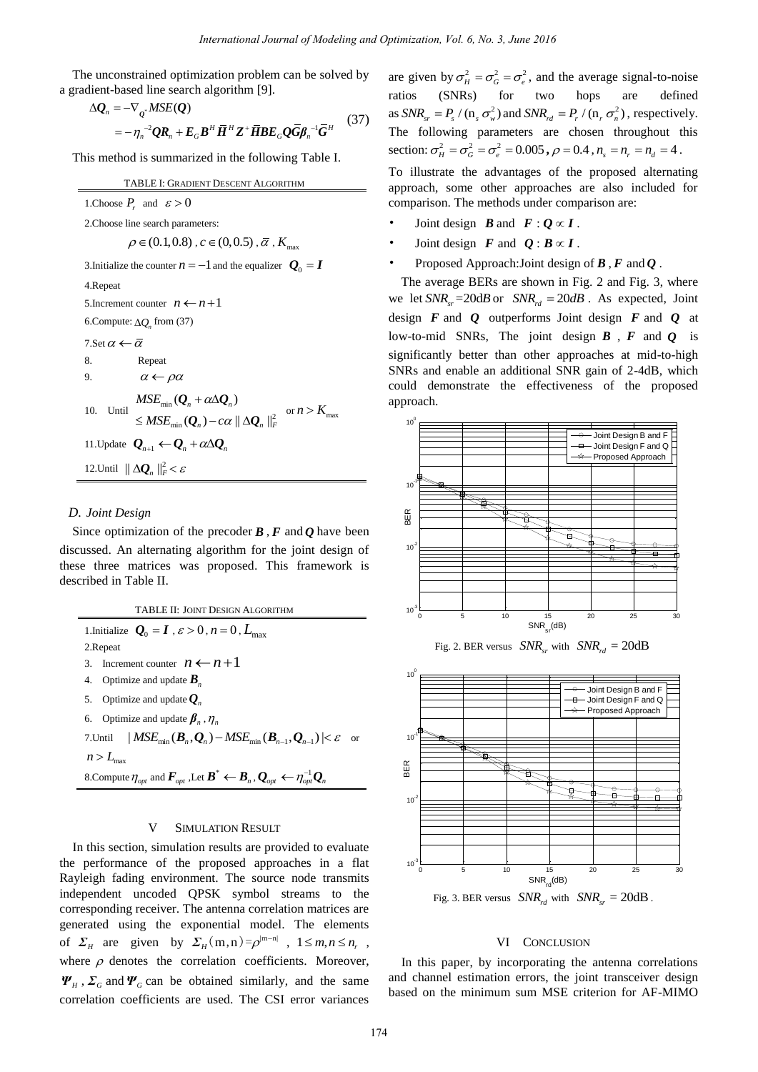The unconstrained optimization problem can be solved by a gradient-based line search algorithm [9].

$$
\Delta \mathbf{Q}_n = -\nabla_{\mathbf{Q}^*} MSE(\mathbf{Q})
$$
  
=  $-\eta_n^{-2} \mathbf{Q} \mathbf{R}_n + \mathbf{E}_G \mathbf{B}^H \overline{\mathbf{H}}^H \mathbf{Z}^+ \overline{\mathbf{H}} \mathbf{B} \mathbf{E}_G \mathbf{Q} \overline{\mathbf{G}} \mathbf{\beta}_n^{-1} \overline{\mathbf{G}}^H$  (37)

This method is summarized in the following Table I.

TABLE I: GRADIENT DESCENT ALGORITHM

1. Choose  $P_r$  and  $\varepsilon > 0$ 2.Choose line search parameters:  $\rho \in (0.1, 0.8)$ ,  $c \in (0, 0.5)$ ,  $\overline{\alpha}$ ,  $K_{\text{max}}$ 3.Initialize the counter  $n = -1$  and the equalizer  $Q_0 = I$ 4.Repeat 5.Increment counter  $n \leftarrow n+1$ 6. Compute:  $\Delta Q_n$  from (37) 7.Set  $\alpha \leftarrow \overline{\alpha}$ 8. Repeat 9.  $\alpha \leftarrow \rho \alpha$ 10. Until  $MSE_{\text{min}}$  $\mathbb{Z}_{\min}(\boldsymbol{Q}_n)$  —  $c\alpha \mid\mid \Delta \boldsymbol{Q}_n \mid\mid_F^2$  $(Q_n + \alpha \Delta Q_n)$  $(\mathbf Q_n) - c\alpha \|\Delta \mathbf Q_n\|$  $n + u \Delta Q_n$  $_n$ )  $-\alpha$   $\mu$   $_{\mu}$   $_{\mu}$   $_{\mu}$ *MSE*  $MSE_{min}(\boldsymbol{Q}_n) - c$  $\alpha$  $\alpha$  $+\alpha\Delta\mathcal{L}$  $\leq$  MSE<sub>min</sub>(Q<sub>n</sub>) – c $\alpha$ ||  $\Delta Q$  $Q_{n} + \alpha \Delta Q$  $\left\|Q_n\right\| - c\alpha \left\|\Delta Q_n\right\|_F^2 \text{ or } n > K_{\max}$ 11. Update  $Q_{n+1} \leftarrow Q_n + \alpha \Delta Q_n$ 12.Until  $\|\Delta \mathbf{Q}_n\|_F^2 < \varepsilon$ *International Journal of Modeling and Optimization, Vol. 6, No. 3, June 2018*<br> **Example 2016** and properties the subscribes of the subscribes and  $\theta^*$   $\theta^*_{\ell} = \theta^*_{\ell} - \theta^*_{\ell}$ , and SNR<sub>2</sub>,<br>  $\theta^*$  **II**<sup>2</sup>  $\ell$  **IDE** 

# *D. Joint Design*

Since optimization of the precoder  $\bf{B}$ ,  $\bf{F}$  and  $\bf{O}$  have been discussed. An alternating algorithm for the joint design of these three matrices was proposed. This framework is described in Table II.

| <b>TABLE II: JOINT DESIGN ALGORITHM</b>                                                                                                                  |
|----------------------------------------------------------------------------------------------------------------------------------------------------------|
| 1. Initialize $Q_0 = I$ , $\varepsilon > 0$ , $n = 0$ , $L_{\text{max}}$                                                                                 |
| 2. Repeat                                                                                                                                                |
| 3. Increment counter $n \leftarrow n+1$                                                                                                                  |
| 4. Optimize and update $\boldsymbol{B}_n$                                                                                                                |
| 5. Optimize and update $Q_{n}$                                                                                                                           |
| 6. Optimize and update $\beta_n$ , $\eta_n$                                                                                                              |
| 7. Until $ MSE_{\min}(\boldsymbol{B}_n,\boldsymbol{Q}_n) - MSE_{\min}(\boldsymbol{B}_{n-1},\boldsymbol{Q}_{n-1})  < \varepsilon$<br><sub>or</sub>        |
| $n>L_{\max}$                                                                                                                                             |
| 8. Compute $\eta_{opt}$ and $\mathbf{F}_{opt}$ , Let $\mathbf{B}^* \leftarrow \mathbf{B}_n$ , $\mathbf{Q}_{opt} \leftarrow \eta_{opt}^{-1} \mathbf{Q}_n$ |

#### V SIMULATION RESULT

In this section, simulation results are provided to evaluate the performance of the proposed approaches in a flat Rayleigh fading environment. The source node transmits independent uncoded QPSK symbol streams to the corresponding receiver. The antenna correlation matrices are generated using the exponential model. The elements of  $\Sigma_H$  are given by  $\Sigma_H(m, n) = \rho^{|m-n|}$ ,  $1 \le m, n \le n_r$ , where  $\rho$  denotes the correlation coefficients. Moreover,  $\Psi_H$ ,  $\Sigma_G$  and  $\Psi_G$  can be obtained similarly, and the same correlation coefficients are used. The CSI error variances

are given by  $\sigma_H^2 = \sigma_G^2 = \sigma_e^2$ , and the average signal-to-noise ratios (SNRs) for two hops are defined as  $SNR_{sr} = P_s / (n_s \sigma_w^2)$  and  $SNR_{rd} = P_r / (n_r \sigma_n^2)$ , respectively. The following parameters are chosen throughout this section:  $\sigma_H^2 = \sigma_G^2 = \sigma_e^2 = 0.005$ ,  $\rho = 0.4$ ,  $n_s = n_r = n_d = 4$ .

To illustrate the advantages of the proposed alternating approach, some other approaches are also included for comparison. The methods under comparison are:

- Joint design *B* and  $F: Q \propto I$ .
- Joint design  $\mathbf{F}$  and  $\mathbf{Q}: \mathbf{B} \propto \mathbf{I}$ .
- Proposed Approach:Joint design of *B* , *F* and *Q* .

The average BERs are shown in Fig. 2 and Fig. 3, where we let  $SNR_{cr} = 20dB$  or  $SNR_{rd} = 20dB$ . As expected, Joint design *F* and *Q* outperforms Joint design *F* and *Q* at low-to-mid SNRs, The joint design *B* , *F* and *Q* is significantly better than other approaches at mid-to-high SNRs and enable an additional SNR gain of 2-4dB, which could demonstrate the effectiveness of the proposed approach.







Fig. 3. BER versus  $SNR_{rd}$  with  $SNR_{cr} = 20dB$ .

## VI CONCLUSION

In this paper, by incorporating the antenna correlations and channel estimation errors, the joint transceiver design based on the minimum sum MSE criterion for AF-MIMO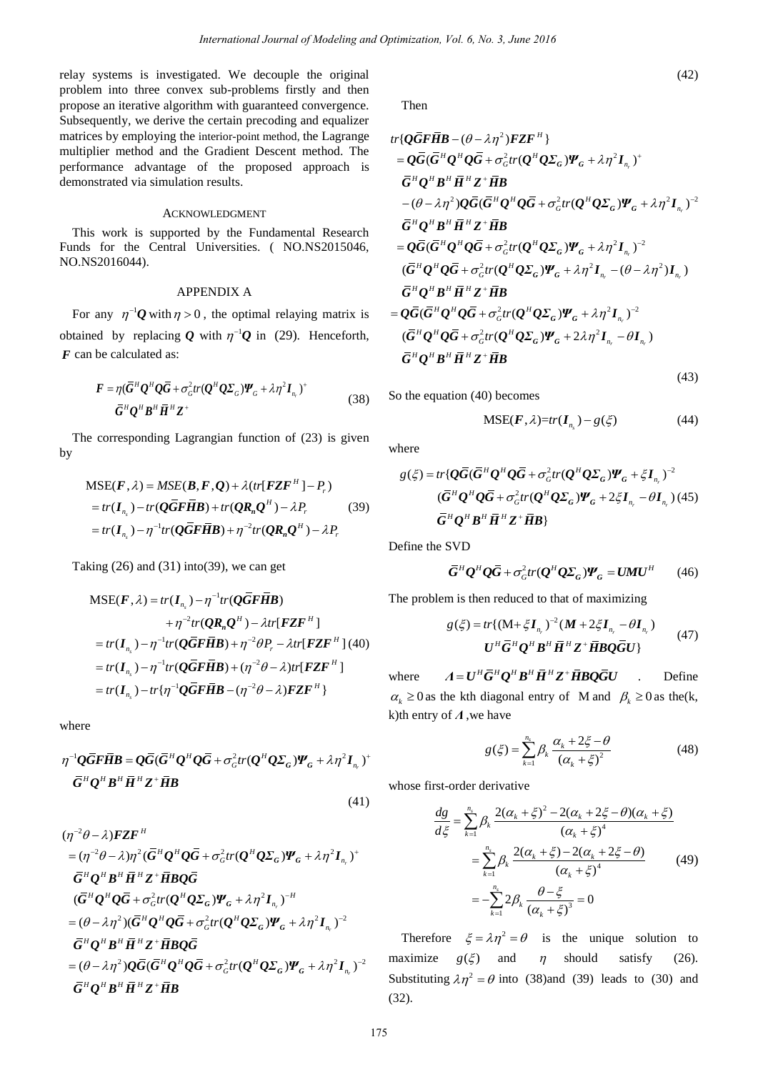relay systems is investigated. We decouple the original problem into three convex sub-problems firstly and then propose an iterative algorithm with guaranteed convergence. Subsequently, we derive the certain precoding and equalizer matrices by employing the interior-point method, the Lagrange multiplier method and the Gradient Descent method. The performance advantage of the proposed approach is demonstrated via simulation results.

## ACKNOWLEDGMENT

This work is supported by the Fundamental Research Funds for the Central Universities. ( NO.NS2015046, NO.NS2016044).

# APPENDIX A

For any  $\eta^{-1}Q$  with  $\eta > 0$ , the optimal relaying matrix is obtained by replacing Q with  $\eta^{-1}Q$  in (29). Henceforth, *F* can be calculated as:

$$
\boldsymbol{F} = \eta (\overline{\boldsymbol{G}}^H \boldsymbol{Q}^H \boldsymbol{Q} \overline{\boldsymbol{G}} + \sigma_G^2 tr(\boldsymbol{Q}^H \boldsymbol{Q} \boldsymbol{\Sigma}_G) \boldsymbol{\Psi}_G + \lambda \eta^2 \boldsymbol{I}_{n_r})^+ \n\overline{\boldsymbol{G}}^H \boldsymbol{Q}^H \boldsymbol{B}^H \overline{\boldsymbol{H}}^H \boldsymbol{Z}^+ \tag{38}
$$

The corresponding Lagrangian function of (23) is given by

$$
MSE(F, \lambda) = MSE(B, F, Q) + \lambda (tr[FZF^{H}] - P_r)
$$
  
= tr( $\mathbf{I}_{n_s}$ ) - tr( $\mathbf{Q}\overline{G}\overline{F}\overline{H}\mathbf{B}$ ) + tr( $\mathbf{QR}_nQ^{H}$ ) - \lambda P\_r (39)  
= tr( $\mathbf{I}_{n_s}$ ) -  $\eta^{-1}$ tr( $\mathbf{Q}\overline{G}\overline{F}\overline{H}\mathbf{B}$ ) +  $\eta^{-2}$ tr( $\mathbf{QR}_nQ^{H}$ ) - \lambda P\_r

Taking  $(26)$  and  $(31)$  into(39), we can get

$$
MSE(F, \lambda) = tr(I_{n_s}) - \eta^{-1} tr(Q\overline{G}F\overline{H}B)
$$
  
+  $\eta^{-2} tr(QR_nQ^H) - \lambda tr[FZF^H]$   
=  $tr(I_{n_s}) - \eta^{-1} tr(Q\overline{G}F\overline{H}B) + \eta^{-2}\theta P_r - \lambda tr[FZF^H]$  (40)  
=  $tr(I_{n_s}) - \eta^{-1} tr(Q\overline{G}F\overline{H}B) + (\eta^{-2}\theta - \lambda) tr[FZF^H]$   
=  $tr(I_{n_s}) - tr\{\eta^{-1}Q\overline{G}F\overline{H}B - (\eta^{-2}\theta - \lambda)FZF^H\}$ 

where

$$
\eta^{-1} Q \overline{G} \overline{F} \overline{H} B = Q \overline{G} (\overline{G}^H Q^H Q \overline{G} + \sigma_G^2 tr(Q^H Q \Sigma_G) \Psi_G + \lambda \eta^2 I_{n_r})^+
$$
  

$$
\overline{G}^H Q^H B^H \overline{H}^H Z^+ \overline{H} B
$$

$$
(\eta^{-2}\theta - \lambda)FZF^{H}
$$
\n
$$
= (\eta^{-2}\theta - \lambda)\eta^{2}(\bar{G}^{H}Q^{H}Q\bar{G} + \sigma_{G}^{2}tr(Q^{H}Q\Sigma_{G})\Psi_{G} + \lambda\eta^{2}I_{n_{r}})^{+}
$$
\n
$$
\bar{G}^{H}Q^{H}B^{H}\bar{H}^{H}Z^{+}\bar{H}BQ\bar{G}
$$
\n
$$
(\bar{G}^{H}Q^{H}Q\bar{G} + \sigma_{G}^{2}tr(Q^{H}Q\Sigma_{G})\Psi_{G} + \lambda\eta^{2}I_{n_{r}})^{-H}
$$
\n
$$
= (\theta - \lambda\eta^{2})(\bar{G}^{H}Q^{H}Q\bar{G} + \sigma_{G}^{2}tr(Q^{H}Q\Sigma_{G})\Psi_{G} + \lambda\eta^{2}I_{n_{r}})^{-2}
$$
\n
$$
\bar{G}^{H}Q^{H}B^{H}\bar{H}^{H}Z^{+}\bar{H}BQ\bar{G}
$$
\n
$$
= (\theta - \lambda\eta^{2})Q\bar{G}(\bar{G}^{H}Q^{H}Q\bar{G} + \sigma_{G}^{2}tr(Q^{H}Q\Sigma_{G})\Psi_{G} + \lambda\eta^{2}I_{n_{r}})^{-2}
$$
\n
$$
\bar{G}^{H}Q^{H}B^{H}\bar{H}^{H}Z^{+}\bar{H}B
$$

Then

*International Journal of Modeling and Optimization, Vol. 5, No. 3, June 2016*  
\nated. We decouple the original  
\nsub-pvolhems firstly and the  
\nsufficient potential procedure:  
\n
$$
\text{arcsin } \text{proposed} \text{ approach}
$$
  
\n $\text{arcsin } \text{proposed} \text{ approach}$   
\n $\text{or } \text{coint, } \text{tr}(Q\overline{H}) = \frac{1}{2} \int_{\text{C}} \frac{1}{2} \int_{\text{C}} \frac{1}{2} \int_{\text{C}} \frac{1}{2} \int_{\text{C}} \frac{1}{2} \int_{\text{C}} \frac{1}{2} \int_{\text{C}} \frac{1}{2} \int_{\text{C}} \frac{1}{2} \int_{\text{C}} \frac{1}{2} \int_{\text{C}} \frac{1}{2} \int_{\text{C}} \frac{1}{2} \int_{\text{C}} \frac{1}{2} \int_{\text{D}} \frac{1}{2} \int_{\text{D}} \frac{1}{2} \int_{\text{D}} \frac{1}{2} \int_{\text{D}} \frac{1}{2} \int_{\text{D}} \frac{1}{2} \int_{\text{D}} \frac{1}{2} \int_{\text{D}} \frac{1}{2} \int_{\text{D}} \frac{1}{2} \int_{\text{D}} \frac{1}{2} \int_{\text{D}} \frac{1}{2} \int_{\text{D}} \frac{1}{2} \int_{\text{D}} \frac{1}{2} \int_{\text{D}} \frac{1}{2} \int_{\text{D}} \frac{1}{2} \int_{\text{D}} \frac{1}{2} \int_{\text{D}} \frac{1}{2} \int_{\text{D}} \frac{1}{2} \int_{\text{D}} \frac{1}{2} \int_{\text{D}} \frac{1}{2} \int_{\text{D}} \frac{1}{2} \int_{\text{D}} \frac{1}{2} \int_{\text{D}} \frac{1}{2} \int_{\text{D}} \frac{1}{2} \int_{\text{D}} \frac{1}{2} \int_{\text{D}} \frac{1}{2} \int_{\text{D}} \frac{1}{2} \int_{\text{D}} \frac{1}{2} \int_{\text{D}} \frac{1}{2} \int_{\text{D}} \frac{1}{2} \int_{\text{D}} \frac{1}{2} \int_{\text{$ 

So the equation (40) becomes

$$
MSE(\boldsymbol{F}, \lambda) = tr(\boldsymbol{I}_{n_s}) - g(\xi) \tag{44}
$$

where

here  
\n
$$
g(\xi) = tr\{\mathbf{Q}\overline{\mathbf{G}}(\overline{\mathbf{G}}^H \mathbf{Q}^H \mathbf{Q}\overline{\mathbf{G}} + \sigma_G^2 tr(\mathbf{Q}^H \mathbf{Q}\Sigma_G)\mathbf{\Psi}_G + \xi \mathbf{I}_{n_r})^{-2}
$$
\n
$$
(\overline{\mathbf{G}}^H \mathbf{Q}^H \mathbf{Q}\overline{\mathbf{G}} + \sigma_G^2 tr(\mathbf{Q}^H \mathbf{Q}\Sigma_G)\mathbf{\Psi}_G + 2\xi \mathbf{I}_{n_r} - \theta \mathbf{I}_{n_r}) \tag{45}
$$
\n
$$
\overline{\mathbf{G}}^H \mathbf{Q}^H \mathbf{B}^H \overline{\mathbf{H}}^H \mathbf{Z}^+ \overline{\mathbf{H}} \mathbf{B}
$$

Define the SVD

$$
\overline{G}^H Q^H Q \overline{G} + \sigma_G^2 tr(Q^H Q \Sigma_G) \Psi_G = U M U^H \qquad (46)
$$

The problem is then reduced to that of maximizing

$$
g(\xi) = tr\{(\mathbf{M} + \xi \mathbf{I}_{n_r})^{-2} (\mathbf{M} + 2\xi \mathbf{I}_{n_r} - \theta \mathbf{I}_{n_r})
$$
  

$$
\mathbf{U}^H \overline{\mathbf{G}}^H \mathbf{Q}^H \mathbf{B}^H \overline{\mathbf{H}}^H \mathbf{Z}^+ \overline{\mathbf{H}} \mathbf{B} \mathbf{Q} \overline{\mathbf{G}} \mathbf{U}\}
$$
(47)

where  $A = U^H \overline{G}^H Q^H B^H \overline{H}^H Z^+ \overline{H} B Q \overline{G} U$ . Define  $\alpha_k \ge 0$  as the kth diagonal entry of M and  $\beta_k \ge 0$  as the (k, k)th entry of *Λ* ,we have

$$
g(\xi) = \sum_{k=1}^{n_s} \beta_k \frac{\alpha_k + 2\xi - \theta}{(\alpha_k + \xi)^2}
$$
(48)

whose first-order derivative

*d*

$$
\frac{dg}{d\xi} = \sum_{k=1}^{n_s} \beta_k \frac{2(\alpha_k + \xi)^2 - 2(\alpha_k + 2\xi - \theta)(\alpha_k + \xi)}{(\alpha_k + \xi)^4}
$$
  
\n
$$
= \sum_{k=1}^{n_s} \beta_k \frac{2(\alpha_k + \xi) - 2(\alpha_k + 2\xi - \theta)}{(\alpha_k + \xi)^4}
$$
(49)  
\n
$$
= -\sum_{k=1}^{n_s} 2\beta_k \frac{\theta - \xi}{(\alpha_k + \xi)^3} = 0
$$

Therefore  $\xi = \lambda \eta^2 = \theta$  is the unique solution to maximize  $g(\xi)$  and  $\eta$ should satisfy  $(26)$ . Substituting  $\lambda \eta^2 = \theta$  into (38)and (39) leads to (30) and (32).

(41)